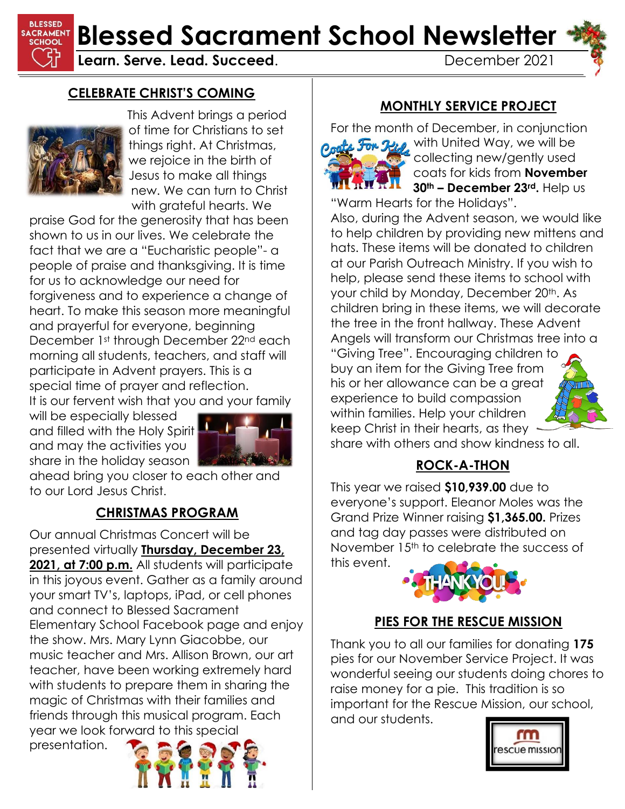

**BLESSED SACRAMENT Blessed Sacrament School Newsletter** 

**Learn. Serve. Lead. Succeed.** December 2021

### **CELEBRATE CHRIST'S COMING**



This Advent brings a period of time for Christians to set things right. At Christmas, we rejoice in the birth of Jesus to make all things new. We can turn to Christ with arateful hearts. We

praise God for the generosity that has been shown to us in our lives. We celebrate the fact that we are a "Eucharistic people"- a people of praise and thanksgiving. It is time for us to acknowledge our need for forgiveness and to experience a change of heart. To make this season more meaningful and prayerful for everyone, beginning December 1st through December 22nd each morning all students, teachers, and staff will participate in Advent prayers. This is a special time of prayer and reflection. It is our fervent wish that you and your family

will be especially blessed and filled with the Holy Spirit and may the activities you share in the holiday season



ahead bring you closer to each other and to our Lord Jesus Christ.

### **CHRISTMAS PROGRAM**

Our annual Christmas Concert will be presented virtually **Thursday, December 23, 2021, at 7:00 p.m.** All students will participate in this joyous event. Gather as a family around your smart TV's, laptops, iPad, or cell phones and connect to Blessed Sacrament Elementary School Facebook page and enjoy the show. Mrs. Mary Lynn Giacobbe, our music teacher and Mrs. Allison Brown, our art teacher, have been working extremely hard with students to prepare them in sharing the magic of Christmas with their families and friends through this musical program. Each year we look forward to this special

presentation.



### **MONTHLY SERVICE PROJECT**

For the month of December, in conjunction Coate For Rid with United Way, we will be collecting new/gently used coats for kids from **November 30th – December 23rd.** Help us

"Warm Hearts for the Holidays". Also, during the Advent season, we would like

to help children by providing new mittens and hats. These items will be donated to children at our Parish Outreach Ministry. If you wish to help, please send these items to school with your child by Monday, December 20<sup>th</sup>, As children bring in these items, we will decorate the tree in the front hallway. These Advent Angels will transform our Christmas tree into a "Giving Tree". Encouraging children to buy an item for the Giving Tree from

his or her allowance can be a great experience to build compassion within families. Help your children keep Christ in their hearts, as they



### **ROCK-A-THON**

This year we raised **\$10,939.00** due to everyone's support. Eleanor Moles was the Grand Prize Winner raising **\$1,365.00.** Prizes and tag day passes were distributed on November 15<sup>th</sup> to celebrate the success of this event.



### **PIES FOR THE RESCUE MISSION**

Thank you to all our families for donating **175** pies for our November Service Project. It was wonderful seeing our students doing chores to raise money for a pie. This tradition is so important for the Rescue Mission, our school, and our students.